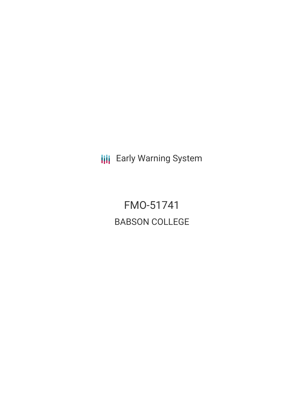**III** Early Warning System

FMO-51741 BABSON COLLEGE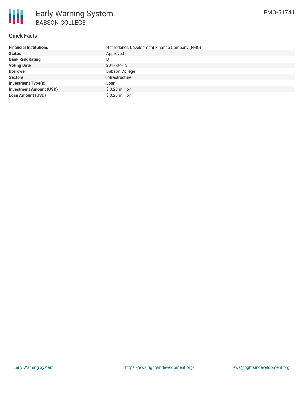

#### **Quick Facts**

| <b>Financial Institutions</b>  | Netherlands Development Finance Company (FMO) |
|--------------------------------|-----------------------------------------------|
| <b>Status</b>                  | Approved                                      |
| <b>Bank Risk Rating</b>        |                                               |
| <b>Voting Date</b>             | 2017-04-13                                    |
| <b>Borrower</b>                | <b>Babson College</b>                         |
| <b>Sectors</b>                 | Infrastructure                                |
| <b>Investment Type(s)</b>      | Loan                                          |
| <b>Investment Amount (USD)</b> | $$0.28$ million                               |
| <b>Loan Amount (USD)</b>       | $$0.28$ million                               |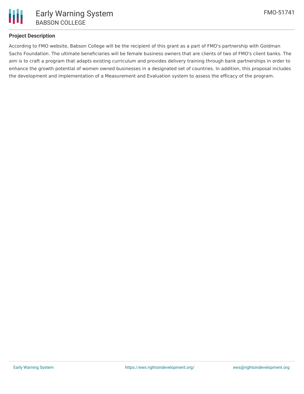

## **Project Description**

According to FMO website, Babson College will be the recipient of this grant as a part of FMO's partnership with Goldman Sachs Foundation. The ultimate beneficiaries will be female business owners that are clients of two of FMO's client banks. The aim is to craft a program that adapts existing curriculum and provides delivery training through bank partnerships in order to enhance the growth potential of women owned businesses in a designated set of countries. In addition, this proposal includes the development and implementation of a Measurement and Evaluation system to assess the efficacy of the program.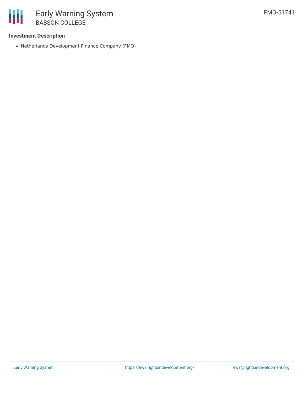

## **Investment Description**

Netherlands Development Finance Company (FMO)